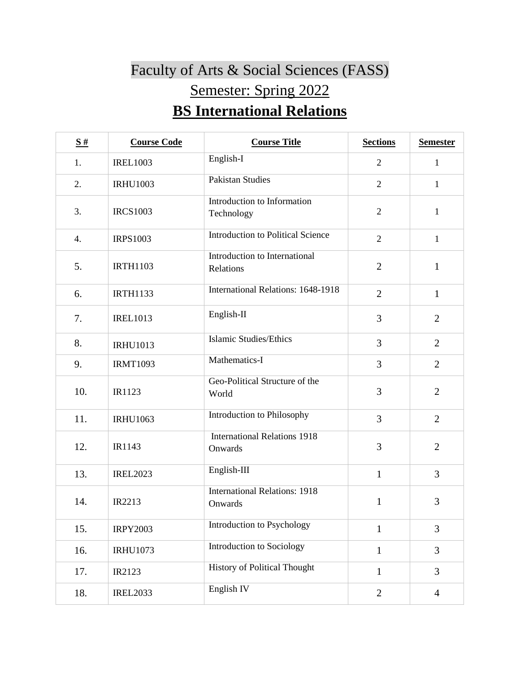## Faculty of Arts & Social Sciences (FASS) Semester: Spring 2022 **BS International Relations**

| $\underline{\mathbf{S}}$ # | <b>Course Code</b> | <b>Course Title</b>                             | <b>Sections</b> | <b>Semester</b> |
|----------------------------|--------------------|-------------------------------------------------|-----------------|-----------------|
| 1.                         | <b>IREL1003</b>    | English-I                                       | $\overline{2}$  | $\mathbf{1}$    |
| 2.                         | <b>IRHU1003</b>    | <b>Pakistan Studies</b>                         | $\overline{2}$  | $\mathbf{1}$    |
| 3.                         | <b>IRCS1003</b>    | Introduction to Information<br>Technology       | $\overline{2}$  | $\mathbf{1}$    |
| 4.                         | <b>IRPS1003</b>    | <b>Introduction to Political Science</b>        | $\overline{2}$  | $\mathbf{1}$    |
| 5.                         | <b>IRTH1103</b>    | Introduction to International<br>Relations      | $\overline{2}$  | $\mathbf{1}$    |
| 6.                         | <b>IRTH1133</b>    | International Relations: 1648-1918              | $\overline{2}$  | $\mathbf{1}$    |
| 7.                         | <b>IREL1013</b>    | English-II                                      | 3               | $\overline{2}$  |
| 8.                         | <b>IRHU1013</b>    | <b>Islamic Studies/Ethics</b>                   | 3               | $\overline{2}$  |
| 9.                         | <b>IRMT1093</b>    | Mathematics-I                                   | 3               | $\overline{2}$  |
| 10.                        | IR1123             | Geo-Political Structure of the<br>World         | 3               | $\overline{2}$  |
| 11.                        | <b>IRHU1063</b>    | Introduction to Philosophy                      | 3               | $\overline{2}$  |
| 12.                        | IR1143             | <b>International Relations 1918</b><br>Onwards  | 3               | $\overline{2}$  |
| 13.                        | <b>IREL2023</b>    | English-III                                     | $\mathbf{1}$    | 3               |
| 14.                        | IR2213             | <b>International Relations: 1918</b><br>Onwards | 1               | 3               |
| 15.                        | <b>IRPY2003</b>    | Introduction to Psychology                      | $\mathbf{1}$    | $\overline{3}$  |
| 16.                        | <b>IRHU1073</b>    | Introduction to Sociology                       | $\mathbf{1}$    | 3               |
| 17.                        | IR2123             | <b>History of Political Thought</b>             | $\mathbf{1}$    | 3               |
| 18.                        | <b>IREL2033</b>    | English <sub>IV</sub>                           | $\mathbf{2}$    | $\overline{4}$  |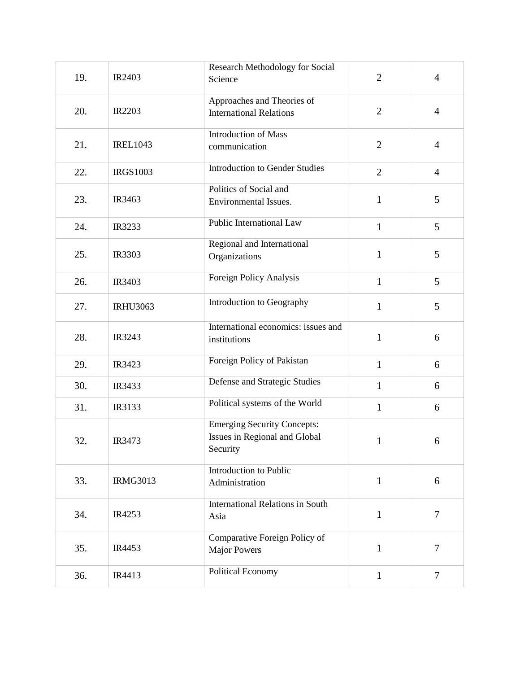|     |                 | Research Methodology for Social         |                |                |
|-----|-----------------|-----------------------------------------|----------------|----------------|
| 19. | IR2403          | Science                                 | $\overline{2}$ | $\overline{4}$ |
|     |                 | Approaches and Theories of              |                |                |
| 20. | <b>IR2203</b>   | <b>International Relations</b>          | $\overline{2}$ | $\overline{4}$ |
|     |                 |                                         |                |                |
|     |                 | <b>Introduction of Mass</b>             |                |                |
| 21. | <b>IREL1043</b> | communication                           | $\mathbf{2}$   | $\overline{4}$ |
|     |                 |                                         |                |                |
| 22. | <b>IRGS1003</b> | <b>Introduction to Gender Studies</b>   | $\overline{2}$ | $\overline{4}$ |
|     |                 | Politics of Social and                  |                |                |
| 23. | IR3463          | Environmental Issues.                   | 1              | 5              |
|     |                 |                                         |                |                |
| 24. | IR3233          | Public International Law                | $\mathbf{1}$   | 5              |
|     |                 | Regional and International              |                |                |
| 25. | IR3303          | Organizations                           | 1              | 5              |
|     |                 |                                         |                |                |
| 26. | IR3403          | Foreign Policy Analysis                 | $\mathbf{1}$   | 5              |
|     |                 |                                         |                |                |
| 27. | <b>IRHU3063</b> | Introduction to Geography               | $\mathbf{1}$   | 5              |
|     |                 |                                         |                |                |
|     |                 | International economics: issues and     |                |                |
| 28. | IR3243          | institutions                            | $\mathbf{1}$   | 6              |
|     |                 | Foreign Policy of Pakistan              |                |                |
| 29. | IR3423          |                                         | $\mathbf{1}$   | 6              |
| 30. | IR3433          | Defense and Strategic Studies           | $\mathbf{1}$   | 6              |
|     |                 |                                         |                |                |
| 31. | IR3133          | Political systems of the World          | $\mathbf{1}$   | 6              |
|     |                 | <b>Emerging Security Concepts:</b>      |                |                |
| 32. | IR3473          | Issues in Regional and Global           | $\mathbf{1}$   | 6              |
|     |                 | Security                                |                |                |
|     |                 |                                         |                |                |
| 33. | <b>IRMG3013</b> | Introduction to Public                  | $\mathbf{1}$   | 6              |
|     |                 | Administration                          |                |                |
|     |                 | <b>International Relations in South</b> |                |                |
| 34. | IR4253          | Asia                                    | $\mathbf{1}$   | $\overline{7}$ |
|     |                 |                                         |                |                |
|     |                 | Comparative Foreign Policy of           |                |                |
| 35. | IR4453          | <b>Major Powers</b>                     | 1              | $\overline{7}$ |
|     |                 | Political Economy                       |                |                |
| 36. | IR4413          |                                         | $\mathbf{1}$   | $\tau$         |